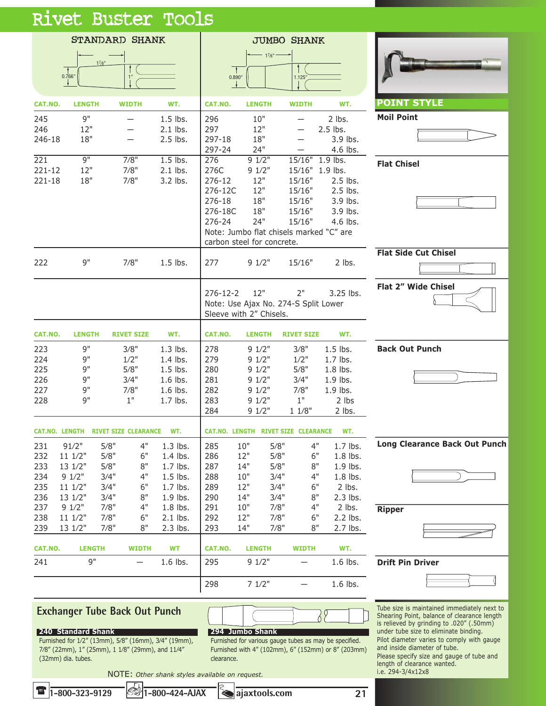|--|



**1-800-323-9129 1-800-424-AJAX ajaxtools.com**

T

**21**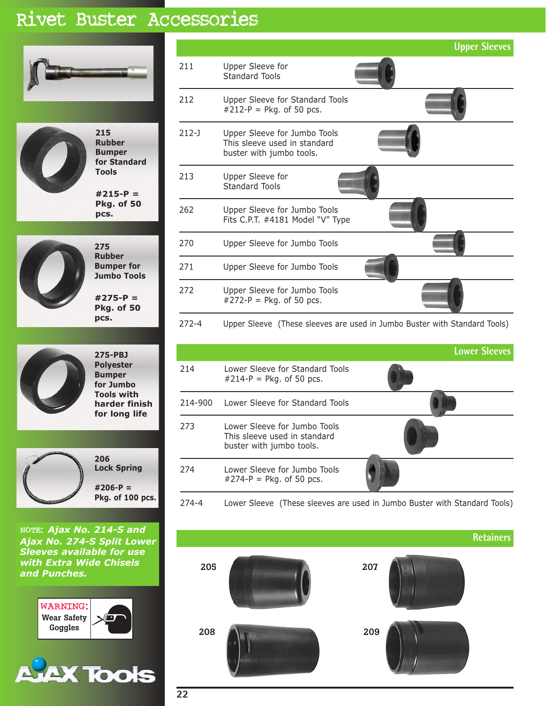## Rivet Buster Accessories





**215 Rubber Bumper for Standard Tools**

**#215-P = Pkg. of 50 pcs.**



**Rubber Bumper for Jumbo Tools #275-P = Pkg. of 50 pcs.**

**275**



**275-PBJ Polyester Bumper for Jumbo Tools with harder finish for long life**



NOTE: *Ajax No. 214-S and Ajax No. 274-S Split Lower Sleeves available for use with Extra Wide Chisels and Punches.*



|           |                                                                                          | <b>Upper Sleeves</b>                                                      |
|-----------|------------------------------------------------------------------------------------------|---------------------------------------------------------------------------|
| 211       | Upper Sleeve for<br>Standard Tools                                                       |                                                                           |
| 212       | Upper Sleeve for Standard Tools<br>$#212-P = Pkg$ . of 50 pcs.                           |                                                                           |
| 212-J     | Upper Sleeve for Jumbo Tools<br>This sleeve used in standard<br>buster with jumbo tools. |                                                                           |
| 213       | Upper Sleeve for<br>Standard Tools                                                       |                                                                           |
| 262       | Upper Sleeve for Jumbo Tools<br>Fits C.P.T. #4181 Model "V" Type                         |                                                                           |
| 270       | Upper Sleeve for Jumbo Tools                                                             |                                                                           |
| 271       | Upper Sleeve for Jumbo Tools                                                             |                                                                           |
| 272       | Upper Sleeve for Jumbo Tools<br>$#272-P = Pkg$ . of 50 pcs.                              |                                                                           |
| $272 - 4$ |                                                                                          | Upper Sleeve (These sleeves are used in Jumbo Buster with Standard Tools) |

|         |                                                                                          | <b>Lower Sleeves</b> |
|---------|------------------------------------------------------------------------------------------|----------------------|
| 214     | Lower Sleeve for Standard Tools<br>$\#214-P = P$ kg. of 50 pcs.                          |                      |
| 214-900 | Lower Sleeve for Standard Tools                                                          |                      |
| 273     | Lower Sleeve for Jumbo Tools<br>This sleeve used in standard<br>buster with jumbo tools. |                      |
| 274     | Lower Sleeve for Jumbo Tools<br>$#274-P = Pkg$ . of 50 pcs.                              |                      |

274-4 Lower Sleeve (These sleeves are used in Jumbo Buster with Standard Tools)



**22**